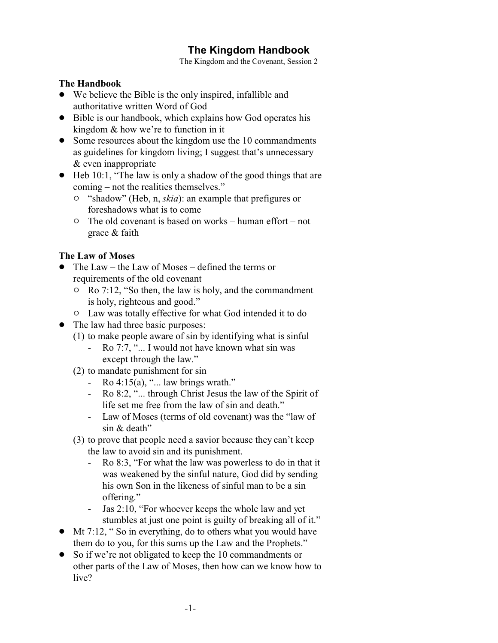# **The Kingdom Handbook**

The Kingdom and the Covenant, Session 2

#### **The Handbook**

- We believe the Bible is the only inspired, infallible and authoritative written Word of God
- Bible is our handbook, which explains how God operates his kingdom & how we're to function in it
- Some resources about the kingdom use the 10 commandments as guidelines for kingdom living; I suggest that's unnecessary & even inappropriate
- $\bullet$  Heb 10:1, "The law is only a shadow of the good things that are coming – not the realities themselves."
	- " "shadow" (Heb, n, *skia*): an example that prefigures or foreshadows what is to come
	- $\circ$  The old covenant is based on works human effort not grace & faith

### **The Law of Moses**

- ! The Law the Law of Moses defined the terms or requirements of the old covenant
	- $\circ$  Ro 7:12, "So then, the law is holy, and the commandment is holy, righteous and good."
	- $\circ$  Law was totally effective for what God intended it to do
- The law had three basic purposes:
	- (1) to make people aware of sin by identifying what is sinful
		- Ro 7:7, "... I would not have known what sin was except through the law."
	- (2) to mandate punishment for sin
		- Ro  $4:15(a)$ , "... law brings wrath."
		- Ro 8:2, "... through Christ Jesus the law of the Spirit of life set me free from the law of sin and death."
		- Law of Moses (terms of old covenant) was the "law of sin & death"
	- (3) to prove that people need a savior because they can't keep the law to avoid sin and its punishment.
		- Ro 8:3, "For what the law was powerless to do in that it was weakened by the sinful nature, God did by sending his own Son in the likeness of sinful man to be a sin offering."
		- Jas 2:10, "For whoever keeps the whole law and yet stumbles at just one point is guilty of breaking all of it."
- ! Mt 7:12, " So in everything, do to others what you would have them do to you, for this sums up the Law and the Prophets."
- So if we're not obligated to keep the 10 commandments or other parts of the Law of Moses, then how can we know how to live?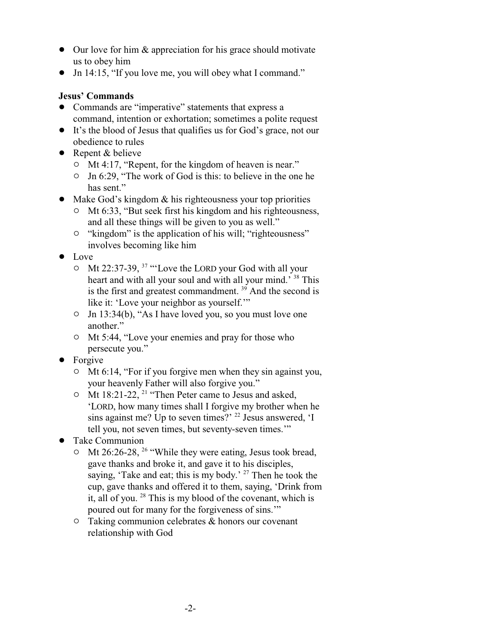- Our love for him & appreciation for his grace should motivate us to obey him
- Jn 14:15, "If you love me, you will obey what I command."

### **Jesus' Commands**

- ! Commands are "imperative" statements that express a command, intention or exhortation; sometimes a polite request
- ! It's the blood of Jesus that qualifies us for God's grace, not our obedience to rules
- Repent & believe
	- Mt 4:17, "Repent, for the kingdom of heaven is near."
	- $\circ$  Jn 6:29, "The work of God is this: to believe in the one he has sent."
- $\bullet$  Make God's kingdom & his righteousness your top priorities
	- $\circ$  Mt 6:33, "But seek first his kingdom and his righteousness, and all these things will be given to you as well."
	- $\circ$  "kingdom" is the application of his will; "righteousness" involves becoming like him
- Love
	- $\circ$  Mt 22:37-39, <sup>37</sup> "Love the LORD your God with all your heart and with all your soul and with all your mind.' <sup>38</sup> This is the first and greatest commandment.<sup>39</sup> And the second is like it: 'Love your neighbor as yourself.'"
	- $\circ$  Jn 13:34(b), "As I have loved you, so you must love one another."
	- <sup>o</sup> Mt 5:44, "Love your enemies and pray for those who persecute you."
- Forgive
	- $\circ$  Mt 6:14, "For if you forgive men when they sin against you, your heavenly Father will also forgive you."
	- $\circ$  Mt 18:21-22, <sup>21</sup> "Then Peter came to Jesus and asked, 'LORD, how many times shall I forgive my brother when he sins against me? Up to seven times?' <sup>22</sup> Jesus answered, 'I tell you, not seven times, but seventy-seven times.'"
- Take Communion
	- $\circ$  Mt 26:26-28, <sup>26</sup> "While they were eating, Jesus took bread, gave thanks and broke it, and gave it to his disciples, saying, 'Take and eat; this is my body.' <sup>27</sup> Then he took the cup, gave thanks and offered it to them, saying, 'Drink from it, all of you.  $28$  This is my blood of the covenant, which is poured out for many for the forgiveness of sins.'"
	- $\circ$  Taking communion celebrates & honors our covenant relationship with God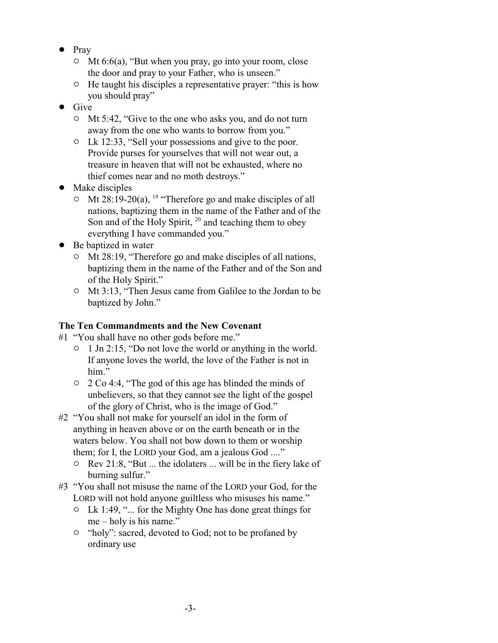- Pray
	- $\circ$  Mt 6:6(a), "But when you pray, go into your room, close the door and pray to your Father, who is unseen."
	- $\circ$  He taught his disciples a representative prayer: "this is how you should pray"
- $\bullet$  Give
	- <sup>o</sup> Mt 5:42, "Give to the one who asks you, and do not turn away from the one who wants to borrow from you."
	- $\circ$  Lk 12:33, "Sell your possessions and give to the poor. Provide purses for yourselves that will not wear out, a treasure in heaven that will not be exhausted, where no thief comes near and no moth destroys."
- Make disciples
	- $\circ$  Mt 28:19-20(a), <sup>19</sup> "Therefore go and make disciples of all nations, baptizing them in the name of the Father and of the Son and of the Holy Spirit,  $20$  and teaching them to obey everything I have commanded you."
- Be baptized in water
	- $\circ$  Mt 28:19, "Therefore go and make disciples of all nations, baptizing them in the name of the Father and of the Son and of the Holy Spirit."
	- <sup>o</sup> Mt 3:13, "Then Jesus came from Galilee to the Jordan to be baptized by John."

## **The Ten Commandments and the New Covenant**

- #1 "You shall have no other gods before me."
	- $\circ$  1 Jn 2:15, "Do not love the world or anything in the world. If anyone loves the world, the love of the Father is not in him."
	- " 2 Co 4:4, "The god of this age has blinded the minds of unbelievers, so that they cannot see the light of the gospel of the glory of Christ, who is the image of God."
- #2 "You shall not make for yourself an idol in the form of anything in heaven above or on the earth beneath or in the waters below. You shall not bow down to them or worship them; for I, the LORD your God, am a jealous God ...."
	- $\circ$  Rev 21:8, "But ... the idolaters ... will be in the fiery lake of burning sulfur."
- #3 "You shall not misuse the name of the LORD your God, for the LORD will not hold anyone guiltless who misuses his name."
	- $\circ$  Lk 1:49, "... for the Mighty One has done great things for me – holy is his name."
	- <sup>o</sup> "holy": sacred, devoted to God; not to be profaned by ordinary use